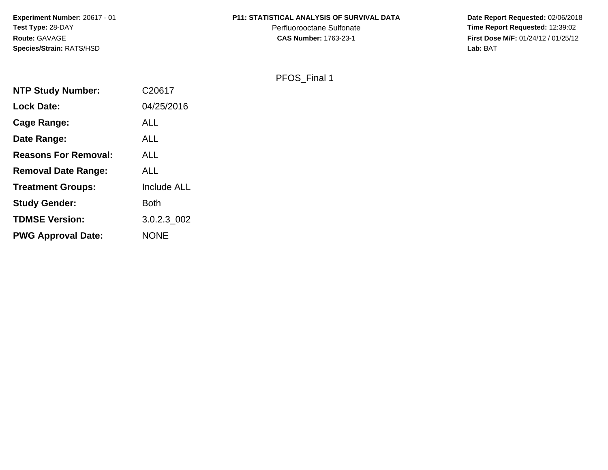**Experiment Number:** 20617 - 01**Test Type:** 28-DAY**Route:** GAVAGE**Species/Strain:** RATS/HSD

### **P11: STATISTICAL ANALYSIS OF SURVIVAL DATA**

Perfluorooctane Sulfonate<br>CAS Number: 1763-23-1

 **Date Report Requested:** 02/06/2018 **Time Report Requested:** 12:39:02 **First Dose M/F:** 01/24/12 / 01/25/12<br>Lab: BAT **Lab:** BAT

PFOS\_Final 1

| <b>NTP Study Number:</b>    | C20617             |
|-----------------------------|--------------------|
| <b>Lock Date:</b>           | 04/25/2016         |
| Cage Range:                 | ALL                |
| Date Range:                 | <b>ALL</b>         |
| <b>Reasons For Removal:</b> | <b>ALL</b>         |
| <b>Removal Date Range:</b>  | <b>ALL</b>         |
| <b>Treatment Groups:</b>    | <b>Include ALL</b> |
| <b>Study Gender:</b>        | Both               |
| <b>TDMSE Version:</b>       | 3.0.2.3 002        |
| <b>PWG Approval Date:</b>   | <b>NONE</b>        |
|                             |                    |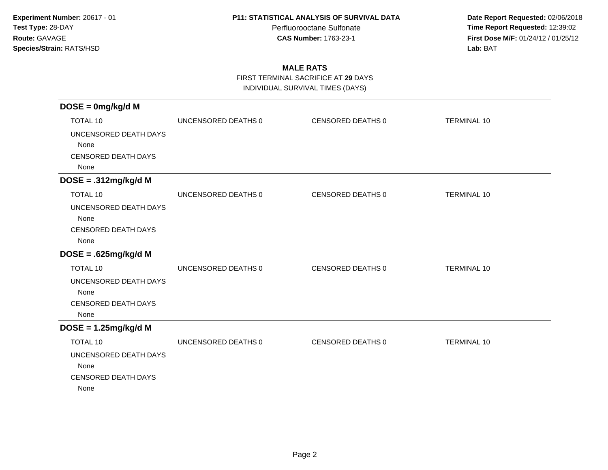Perfluorooctane Sulfonate<br>CAS Number: 1763-23-1

 **Date Report Requested:** 02/06/2018 **Time Report Requested:** 12:39:02 **First Dose M/F:** 01/24/12 / 01/25/12<br>**Lab:** BAT **Lab:** BAT

# **MALE RATS**

FIRST TERMINAL SACRIFICE AT **29** DAYS

INDIVIDUAL SURVIVAL TIMES (DAYS)

| $DOSE = 0mg/kg/d$ M        |                     |                   |                    |
|----------------------------|---------------------|-------------------|--------------------|
| <b>TOTAL 10</b>            | UNCENSORED DEATHS 0 | CENSORED DEATHS 0 | <b>TERMINAL 10</b> |
| UNCENSORED DEATH DAYS      |                     |                   |                    |
| None                       |                     |                   |                    |
| <b>CENSORED DEATH DAYS</b> |                     |                   |                    |
| None                       |                     |                   |                    |
| $DOSE = .312mg/kg/d M$     |                     |                   |                    |
| <b>TOTAL 10</b>            | UNCENSORED DEATHS 0 | CENSORED DEATHS 0 | <b>TERMINAL 10</b> |
| UNCENSORED DEATH DAYS      |                     |                   |                    |
| None                       |                     |                   |                    |
| <b>CENSORED DEATH DAYS</b> |                     |                   |                    |
| None                       |                     |                   |                    |
| $DOSE = .625mg/kg/d M$     |                     |                   |                    |
| <b>TOTAL 10</b>            | UNCENSORED DEATHS 0 | CENSORED DEATHS 0 | <b>TERMINAL 10</b> |
| UNCENSORED DEATH DAYS      |                     |                   |                    |
| None                       |                     |                   |                    |
| <b>CENSORED DEATH DAYS</b> |                     |                   |                    |
| None                       |                     |                   |                    |
| $DOSE = 1.25mg/kg/d M$     |                     |                   |                    |
| <b>TOTAL 10</b>            | UNCENSORED DEATHS 0 | CENSORED DEATHS 0 | <b>TERMINAL 10</b> |
| UNCENSORED DEATH DAYS      |                     |                   |                    |
| None                       |                     |                   |                    |
| <b>CENSORED DEATH DAYS</b> |                     |                   |                    |
| None                       |                     |                   |                    |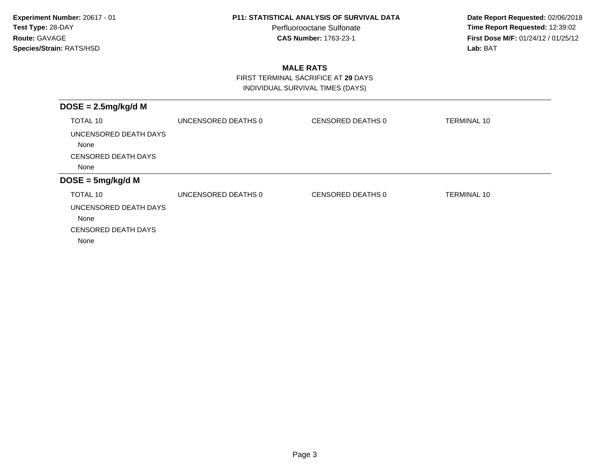Perfluorooctane Sulfonate<br>CAS Number: 1763-23-1

 **Date Report Requested:** 02/06/2018 **Time Report Requested:** 12:39:02 **First Dose M/F:** 01/24/12 / 01/25/12<br>**Lab:** BAT **Lab:** BAT

# **MALE RATS**

 FIRST TERMINAL SACRIFICE AT **29** DAYSINDIVIDUAL SURVIVAL TIMES (DAYS)

| UNCENSORED DEATHS 0 | CENSORED DEATHS 0 | <b>TERMINAL 10</b> |
|---------------------|-------------------|--------------------|
|                     |                   |                    |
|                     |                   |                    |
|                     |                   |                    |
| UNCENSORED DEATHS 0 | CENSORED DEATHS 0 | <b>TERMINAL 10</b> |
|                     |                   |                    |
|                     |                   |                    |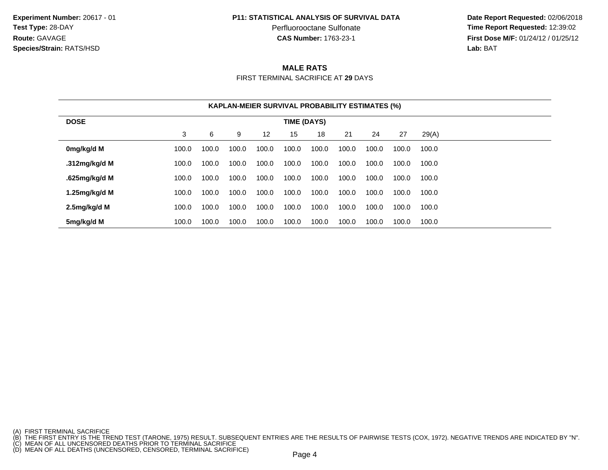Perfluorooctane Sulfonate<br>CAS Number: 1763-23-1

 **Date Report Requested:** 02/06/2018 **Time Report Requested:** 12:39:02 **First Dose M/F:** 01/24/12 / 01/25/12<br>**Lab:** BAT **Lab:** BAT

## **MALE RATS**

FIRST TERMINAL SACRIFICE AT **29** DAYS

|                                   | <b>KAPLAN-MEIER SURVIVAL PROBABILITY ESTIMATES (%)</b> |       |       |                   |       |       |       |       |       |       |
|-----------------------------------|--------------------------------------------------------|-------|-------|-------------------|-------|-------|-------|-------|-------|-------|
| <b>DOSE</b><br><b>TIME (DAYS)</b> |                                                        |       |       |                   |       |       |       |       |       |       |
|                                   | 3                                                      | 6     | 9     | $12 \overline{ }$ | 15    | 18    | 21    | 24    | 27    | 29(A) |
| 0mg/kg/d M                        | 100.0                                                  | 100.0 | 100.0 | 100.0             | 100.0 | 100.0 | 100.0 | 100.0 | 100.0 | 100.0 |
| .312mg/kg/d M                     | 100.0                                                  | 100.0 | 100.0 | 100.0             | 100.0 | 100.0 | 100.0 | 100.0 | 100.0 | 100.0 |
| .625mg/kg/d M                     | 100.0                                                  | 100.0 | 100.0 | 100.0             | 100.0 | 100.0 | 100.0 | 100.0 | 100.0 | 100.0 |
| 1.25mg/kg/d M                     | 100.0                                                  | 100.0 | 100.0 | 100.0             | 100.0 | 100.0 | 100.0 | 100.0 | 100.0 | 100.0 |
| 2.5mg/kg/d M                      | 100.0                                                  | 100.0 | 100.0 | 100.0             | 100.0 | 100.0 | 100.0 | 100.0 | 100.0 | 100.0 |
| 5mg/kg/d M                        | 100.0                                                  | 100.0 | 100.0 | 100.0             | 100.0 | 100.0 | 100.0 | 100.0 | 100.0 | 100.0 |

<sup>(</sup>A) FIRST TERMINAL SACRIFICE<br>(B) THE FIRST ENTRY IS THE TREND TEST (TARONE, 1975) RESULT. SUBSEQUENT ENTRIES ARE THE RESULTS OF PAIRWISE TESTS (COX, 1972). NEGATIVE TRENDS ARE INDICATED BY "N".<br>(C) MEAN OF ALL UNCENSORED D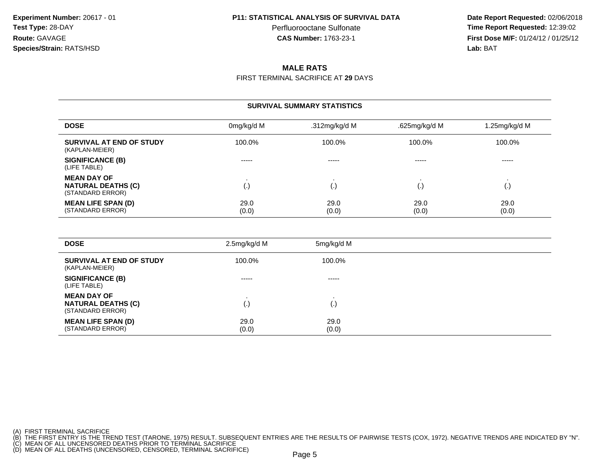Perfluorooctane Sulfonate<br>CAS Number: 1763-23-1

 **Date Report Requested:** 02/06/2018 **Time Report Requested:** 12:39:02 **First Dose M/F:** 01/24/12 / 01/25/12<br>**Lab:** BAT **Lab:** BAT

## **MALE RATS**

FIRST TERMINAL SACRIFICE AT **29** DAYS

## **SURVIVAL SUMMARY STATISTICS**

| <b>DOSE</b>                                                         | 0mg/kg/d M    | .312mg/kg/d M | .625mg/kg/d M | 1.25mg/kg/d M |
|---------------------------------------------------------------------|---------------|---------------|---------------|---------------|
| <b>SURVIVAL AT END OF STUDY</b><br>(KAPLAN-MEIER)                   | 100.0%        | 100.0%        | 100.0%        | 100.0%        |
| <b>SIGNIFICANCE (B)</b><br>(LIFE TABLE)                             | -----         | -----         | -----         | -----         |
| <b>MEAN DAY OF</b><br><b>NATURAL DEATHS (C)</b><br>(STANDARD ERROR) | (.)           | l٠            |               | ι٠,           |
| <b>MEAN LIFE SPAN (D)</b><br>(STANDARD ERROR)                       | 29.0<br>(0.0) | 29.0<br>(0.0) | 29.0<br>(0.0) | 29.0<br>(0.0) |

| <b>DOSE</b>                                                         | 2.5mg/kg/d M  | 5mg/kg/d M    |
|---------------------------------------------------------------------|---------------|---------------|
| SURVIVAL AT END OF STUDY<br>(KAPLAN-MEIER)                          | 100.0%        | 100.0%        |
| <b>SIGNIFICANCE (B)</b><br>(LIFE TABLE)                             | $- - - - -$   | -----         |
| <b>MEAN DAY OF</b><br><b>NATURAL DEATHS (C)</b><br>(STANDARD ERROR) | (.)           | ر - با        |
| <b>MEAN LIFE SPAN (D)</b><br>(STANDARD ERROR)                       | 29.0<br>(0.0) | 29.0<br>(0.0) |

(A) FIRST TERMINAL SACRIFICE<br>(B) THE FIRST ENTRY IS THE TREND TEST (TARONE, 1975) RESULT. SUBSEQUENT ENTRIES ARE THE RESULTS OF PAIRWISE TESTS (COX, 1972). NEGATIVE TRENDS ARE INDICATED BY "N".<br>(C) MEAN OF ALL UNCENSORED D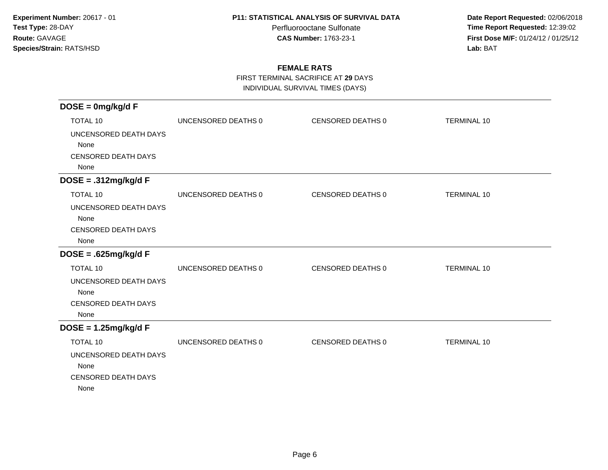Perfluorooctane Sulfonate<br>CAS Number: 1763-23-1

 **Date Report Requested:** 02/06/2018 **Time Report Requested:** 12:39:02 **First Dose M/F:** 01/24/12 / 01/25/12<br>**Lab:** BAT **Lab:** BAT

## **FEMALE RATS**

FIRST TERMINAL SACRIFICE AT **29** DAYS

INDIVIDUAL SURVIVAL TIMES (DAYS)

| $DOSE = 0mg/kg/dF$         |                     |                   |                    |
|----------------------------|---------------------|-------------------|--------------------|
| <b>TOTAL 10</b>            | UNCENSORED DEATHS 0 | CENSORED DEATHS 0 | <b>TERMINAL 10</b> |
| UNCENSORED DEATH DAYS      |                     |                   |                    |
| None                       |                     |                   |                    |
| <b>CENSORED DEATH DAYS</b> |                     |                   |                    |
| None                       |                     |                   |                    |
| $DOSE = .312mg/kg/dF$      |                     |                   |                    |
| <b>TOTAL 10</b>            | UNCENSORED DEATHS 0 | CENSORED DEATHS 0 | <b>TERMINAL 10</b> |
| UNCENSORED DEATH DAYS      |                     |                   |                    |
| None                       |                     |                   |                    |
| <b>CENSORED DEATH DAYS</b> |                     |                   |                    |
| None                       |                     |                   |                    |
| $DOSE = .625mg/kg/dF$      |                     |                   |                    |
| <b>TOTAL 10</b>            | UNCENSORED DEATHS 0 | CENSORED DEATHS 0 | <b>TERMINAL 10</b> |
| UNCENSORED DEATH DAYS      |                     |                   |                    |
| None                       |                     |                   |                    |
| <b>CENSORED DEATH DAYS</b> |                     |                   |                    |
| None                       |                     |                   |                    |
| $DOSE = 1.25mg/kg/dF$      |                     |                   |                    |
| <b>TOTAL 10</b>            | UNCENSORED DEATHS 0 | CENSORED DEATHS 0 | <b>TERMINAL 10</b> |
| UNCENSORED DEATH DAYS      |                     |                   |                    |
| None                       |                     |                   |                    |
| <b>CENSORED DEATH DAYS</b> |                     |                   |                    |
| None                       |                     |                   |                    |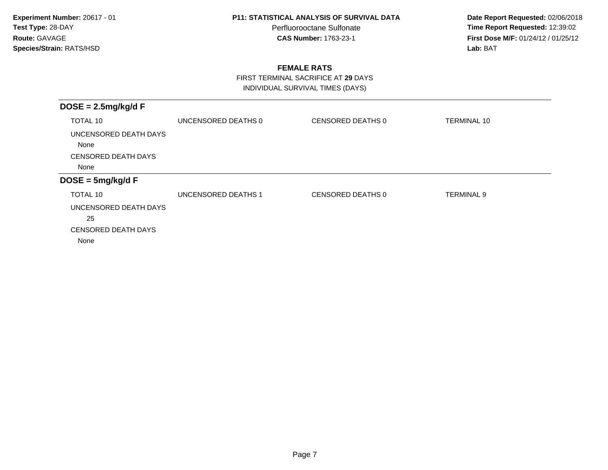Perfluorooctane Sulfonate<br>CAS Number: 1763-23-1

 **Date Report Requested:** 02/06/2018 **Time Report Requested:** 12:39:02 **First Dose M/F:** 01/24/12 / 01/25/12<br>**Lab:** BAT **Lab:** BAT

## **FEMALE RATS**

FIRST TERMINAL SACRIFICE AT **29** DAYS

INDIVIDUAL SURVIVAL TIMES (DAYS)

| $DOSE = 2.5mg/kg/dF$          |                     |                   |                    |
|-------------------------------|---------------------|-------------------|--------------------|
| TOTAL 10                      | UNCENSORED DEATHS 0 | CENSORED DEATHS 0 | <b>TERMINAL 10</b> |
| UNCENSORED DEATH DAYS<br>None |                     |                   |                    |
| <b>CENSORED DEATH DAYS</b>    |                     |                   |                    |
| None                          |                     |                   |                    |
| $DOSE = 5mg/kg/dF$            |                     |                   |                    |
| TOTAL 10                      | UNCENSORED DEATHS 1 | CENSORED DEATHS 0 | <b>TERMINAL 9</b>  |
| UNCENSORED DEATH DAYS         |                     |                   |                    |
| 25                            |                     |                   |                    |
| <b>CENSORED DEATH DAYS</b>    |                     |                   |                    |
| None                          |                     |                   |                    |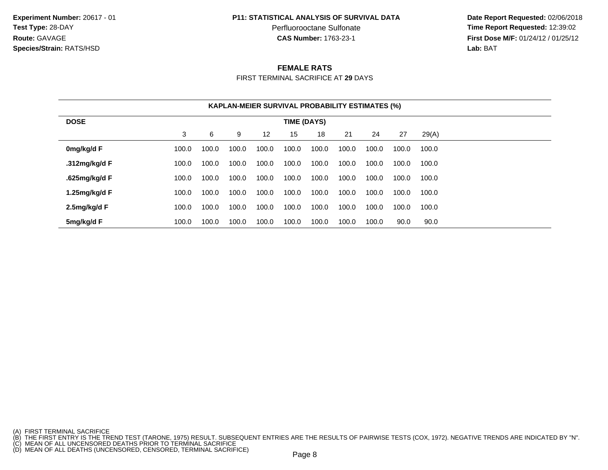**Experiment Number:** 20617 - 01**Test Type:** 28-DAY**Route:** GAVAGE**Species/Strain:** RATS/HSD

#### **P11: STATISTICAL ANALYSIS OF SURVIVAL DATA**

Perfluorooctane Sulfonate<br>CAS Number: 1763-23-1

 **Date Report Requested:** 02/06/2018 **Time Report Requested:** 12:39:02 **First Dose M/F:** 01/24/12 / 01/25/12<br>**Lab:** BAT **Lab:** BAT

### **FEMALE RATS**

FIRST TERMINAL SACRIFICE AT **29** DAYS

|                                   |       |       |       |       |       | <b>KAPLAN-MEIER SURVIVAL PROBABILITY ESTIMATES (%)</b> |       |       |       |       |  |
|-----------------------------------|-------|-------|-------|-------|-------|--------------------------------------------------------|-------|-------|-------|-------|--|
| <b>DOSE</b><br><b>TIME (DAYS)</b> |       |       |       |       |       |                                                        |       |       |       |       |  |
|                                   | 3     | 6     | 9     | 12    | 15    | 18                                                     | 21    | 24    | 27    | 29(A) |  |
| 0mg/kg/d F                        | 100.0 | 100.0 | 100.0 | 100.0 | 100.0 | 100.0                                                  | 100.0 | 100.0 | 100.0 | 100.0 |  |
| .312mg/kg/d F                     | 100.0 | 100.0 | 100.0 | 100.0 | 100.0 | 100.0                                                  | 100.0 | 100.0 | 100.0 | 100.0 |  |
| .625mg/kg/d F                     | 100.0 | 100.0 | 100.0 | 100.0 | 100.0 | 100.0                                                  | 100.0 | 100.0 | 100.0 | 100.0 |  |
| 1.25 $mg/kg/d$ F                  | 100.0 | 100.0 | 100.0 | 100.0 | 100.0 | 100.0                                                  | 100.0 | 100.0 | 100.0 | 100.0 |  |
| 2.5mg/kg/d F                      | 100.0 | 100.0 | 100.0 | 100.0 | 100.0 | 100.0                                                  | 100.0 | 100.0 | 100.0 | 100.0 |  |
| 5mg/kg/d F                        | 100.0 | 100.0 | 100.0 | 100.0 | 100.0 | 100.0                                                  | 100.0 | 100.0 | 90.0  | 90.0  |  |

<sup>(</sup>A) FIRST TERMINAL SACRIFICE<br>(B) THE FIRST ENTRY IS THE TREND TEST (TARONE, 1975) RESULT. SUBSEQUENT ENTRIES ARE THE RESULTS OF PAIRWISE TESTS (COX, 1972). NEGATIVE TRENDS ARE INDICATED BY "N".<br>(C) MEAN OF ALL UNCENSORED D